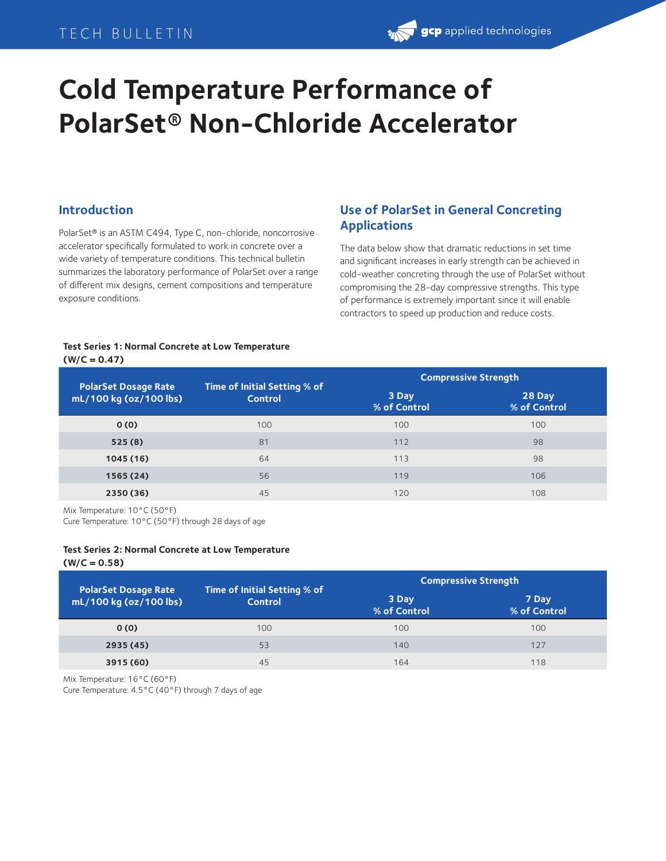## TECH BULLETIN

# **gcp** applied technologies

# **Cold Temperature Performance of PolarSet® Non-Chloride Accelerator**

## **Introduction**

PolarSet® is an ASTM C494, Type C, non-chloride, noncorrosive accelerator specifically formulated to work in concrete over a wide variety of temperature conditions. This technical bulletin summarizes the laboratory performance of PolarSet over a range of different mix designs, cement compositions and temperature exposure conditions.

## **Use of PolarSet in General Concreting Applications**

The data below show that dramatic reductions in set time and significant increases in early strength can be achieved in cold-weather concreting through the use of PolarSet without compromising the 28-day compressive strengths. This type of performance is extremely important since it will enable contractors to speed up production and reduce costs.

#### **Test Series 1: Normal Concrete at Low Temperature (W/C = 0.47)**

| <b>PolarSet Dosage Rate</b> | Time of Initial Setting % of<br><b>Control</b> | <b>Compressive Strength</b> |                        |  |
|-----------------------------|------------------------------------------------|-----------------------------|------------------------|--|
| mL/100 kg (oz/100 lbs)      |                                                | 3 Day<br>% of Control       | 28 Day<br>% of Control |  |
| 0(0)                        | 100                                            | 100                         | 100                    |  |
| 525(8)                      | 81                                             | 112                         | 98                     |  |
| 1045(16)                    | 64                                             | 113                         | 98                     |  |
| 1565 (24)                   | 56                                             | 119                         | 106                    |  |
| 2350 (36)                   | 45                                             | 120                         | 108                    |  |

Mix Temperature: 10°C (50°F)

Cure Temperature: 10°C (50°F) through 28 days of age

#### **Test Series 2: Normal Concrete at Low Temperature (W/C = 0.58)**

| <b>PolarSet Dosage Rate</b><br>mL/100 kg (oz/100 lbs) | Time of Initial Setting % of<br><b>Control</b> | <b>Compressive Strength</b> |                       |  |
|-------------------------------------------------------|------------------------------------------------|-----------------------------|-----------------------|--|
|                                                       |                                                | 3 Day<br>% of Control       | 7 Day<br>% of Control |  |
| 0(0)                                                  | 100                                            | 100                         | 100                   |  |
| 2935 (45)                                             | 53                                             | 140                         | 127                   |  |
| 3915 (60)                                             | 45                                             | 164                         | 118                   |  |

Mix Temperature: 16°C (60°F)

Cure Temperature: 4.5°C (40°F) through 7 days of age